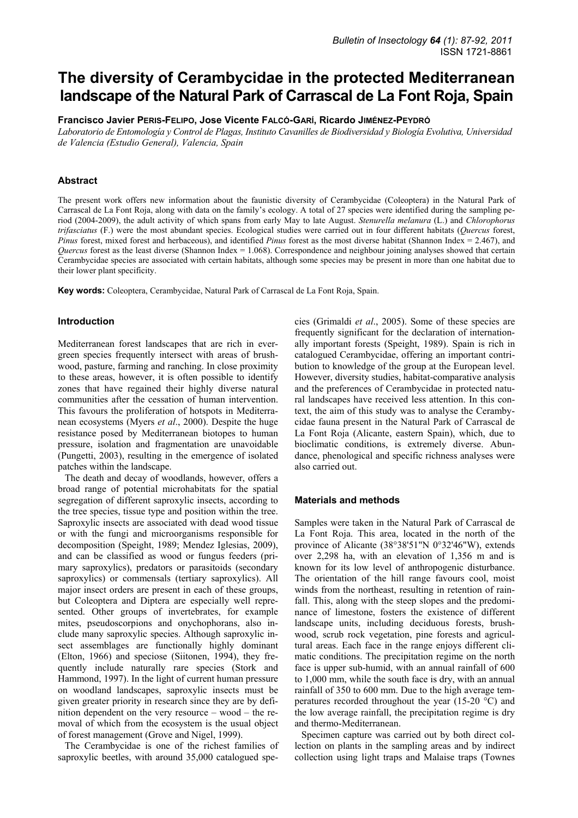# **The diversity of Cerambycidae in the protected Mediterranean landscape of the Natural Park of Carrascal de La Font Roja, Spain**

**Francisco Javier PERIS-FELIPO, Jose Vicente FALCÓ-GARÍ, Ricardo JIMÉNEZ-PEYDRÓ**

*Laboratorio de Entomología y Control de Plagas, Instituto Cavanilles de Biodiversidad y Biología Evolutiva, Universidad de Valencia (Estudio General), Valencia, Spain* 

## **Abstract**

The present work offers new information about the faunistic diversity of Cerambycidae (Coleoptera) in the Natural Park of Carrascal de La Font Roja, along with data on the family's ecology. A total of 27 species were identified during the sampling period (2004-2009), the adult activity of which spans from early May to late August. *Stenurella melanura* (L.) and *Chlorophorus trifasciatus* (F.) were the most abundant species. Ecological studies were carried out in four different habitats (*Quercus* forest, *Pinus* forest, mixed forest and herbaceous), and identified *Pinus* forest as the most diverse habitat (Shannon Index = 2.467), and *Quercus* forest as the least diverse (Shannon Index = 1.068). Correspondence and neighbour joining analyses showed that certain Cerambycidae species are associated with certain habitats, although some species may be present in more than one habitat due to their lower plant specificity.

**Key words:** Coleoptera, Cerambycidae, Natural Park of Carrascal de La Font Roja, Spain.

## **Introduction**

Mediterranean forest landscapes that are rich in evergreen species frequently intersect with areas of brushwood, pasture, farming and ranching. In close proximity to these areas, however, it is often possible to identify zones that have regained their highly diverse natural communities after the cessation of human intervention. This favours the proliferation of hotspots in Mediterranean ecosystems (Myers *et al*., 2000). Despite the huge resistance posed by Mediterranean biotopes to human pressure, isolation and fragmentation are unavoidable (Pungetti, 2003), resulting in the emergence of isolated patches within the landscape.

The death and decay of woodlands, however, offers a broad range of potential microhabitats for the spatial segregation of different saproxylic insects, according to the tree species, tissue type and position within the tree. Saproxylic insects are associated with dead wood tissue or with the fungi and microorganisms responsible for decomposition (Speight, 1989; Mendez Iglesias, 2009), and can be classified as wood or fungus feeders (primary saproxylics), predators or parasitoids (secondary saproxylics) or commensals (tertiary saproxylics). All major insect orders are present in each of these groups, but Coleoptera and Diptera are especially well represented. Other groups of invertebrates, for example mites, pseudoscorpions and onychophorans, also include many saproxylic species. Although saproxylic insect assemblages are functionally highly dominant (Elton, 1966) and speciose (Siitonen, 1994), they frequently include naturally rare species (Stork and Hammond, 1997). In the light of current human pressure on woodland landscapes, saproxylic insects must be given greater priority in research since they are by definition dependent on the very resource – wood – the removal of which from the ecosystem is the usual object of forest management (Grove and Nigel, 1999).

The Cerambycidae is one of the richest families of saproxylic beetles, with around 35,000 catalogued spe-

cies (Grimaldi *et al*., 2005). Some of these species are frequently significant for the declaration of internationally important forests (Speight, 1989). Spain is rich in catalogued Cerambycidae, offering an important contribution to knowledge of the group at the European level. However, diversity studies, habitat-comparative analysis and the preferences of Cerambycidae in protected natural landscapes have received less attention. In this context, the aim of this study was to analyse the Cerambycidae fauna present in the Natural Park of Carrascal de La Font Roja (Alicante, eastern Spain), which, due to bioclimatic conditions, is extremely diverse. Abundance, phenological and specific richness analyses were also carried out.

## **Materials and methods**

Samples were taken in the Natural Park of Carrascal de La Font Roja. This area, located in the north of the province of Alicante (38°38'51"N 0°32'46"W), extends over 2,298 ha, with an elevation of 1,356 m and is known for its low level of anthropogenic disturbance. The orientation of the hill range favours cool, moist winds from the northeast, resulting in retention of rainfall. This, along with the steep slopes and the predominance of limestone, fosters the existence of different landscape units, including deciduous forests, brushwood, scrub rock vegetation, pine forests and agricultural areas. Each face in the range enjoys different climatic conditions. The precipitation regime on the north face is upper sub-humid, with an annual rainfall of 600 to 1,000 mm, while the south face is dry, with an annual rainfall of 350 to 600 mm. Due to the high average temperatures recorded throughout the year (15-20 °C) and the low average rainfall, the precipitation regime is dry and thermo-Mediterranean.

Specimen capture was carried out by both direct collection on plants in the sampling areas and by indirect collection using light traps and Malaise traps (Townes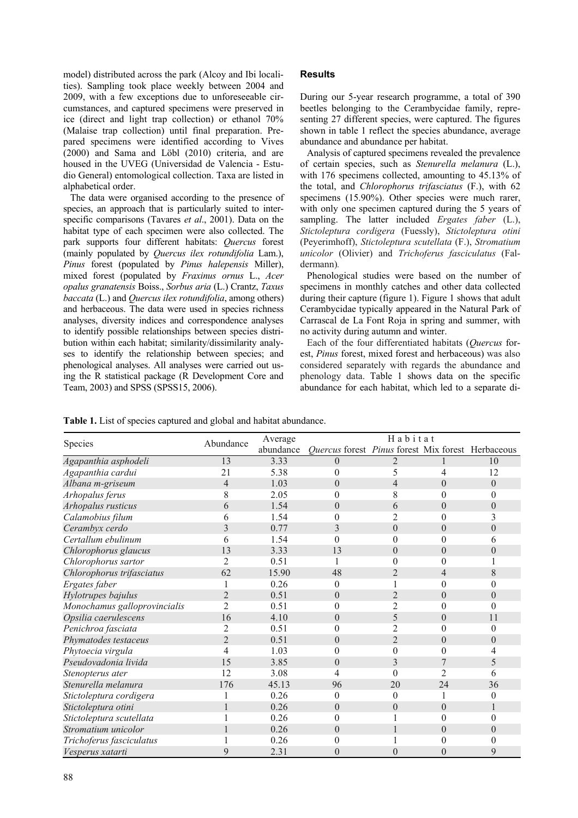model) distributed across the park (Alcoy and Ibi localities). Sampling took place weekly between 2004 and 2009, with a few exceptions due to unforeseeable circumstances, and captured specimens were preserved in ice (direct and light trap collection) or ethanol 70% (Malaise trap collection) until final preparation. Prepared specimens were identified according to Vives (2000) and Sama and Löbl (2010) criteria, and are housed in the UVEG (Universidad de Valencia - Estudio General) entomological collection. Taxa are listed in alphabetical order.

The data were organised according to the presence of species, an approach that is particularly suited to interspecific comparisons (Tavares *et al*., 2001). Data on the habitat type of each specimen were also collected. The park supports four different habitats: *Quercus* forest (mainly populated by *Quercus ilex rotundifolia* Lam.), *Pinus* forest (populated by *Pinus halepensis* Miller), mixed forest (populated by *Fraxinus ornus* L., *Acer opalus granatensis* Boiss., *Sorbus aria* (L.) Crantz, *Taxus baccata* (L.) and *Quercus ilex rotundifolia*, among others) and herbaceous. The data were used in species richness analyses, diversity indices and correspondence analyses to identify possible relationships between species distribution within each habitat; similarity/dissimilarity analyses to identify the relationship between species; and phenological analyses. All analyses were carried out using the R statistical package (R Development Core and Team, 2003) and SPSS (SPSS15, 2006).

# **Results**

During our 5-year research programme, a total of 390 beetles belonging to the Cerambycidae family, representing 27 different species, were captured. The figures shown in table 1 reflect the species abundance, average abundance and abundance per habitat.

Analysis of captured specimens revealed the prevalence of certain species, such as *Stenurella melanura* (L.), with 176 specimens collected, amounting to 45.13% of the total, and *Chlorophorus trifasciatus* (F.), with 62 specimens (15.90%). Other species were much rarer, with only one specimen captured during the 5 years of sampling. The latter included *Ergates faber* (L.), *Stictoleptura cordigera* (Fuessly), *Stictoleptura otini*  (Peyerimhoff), *Stictoleptura scutellata* (F.), *Stromatium unicolor* (Olivier) and *Trichoferus fasciculatus* (Faldermann)*.* 

Phenological studies were based on the number of specimens in monthly catches and other data collected during their capture (figure 1). Figure 1 shows that adult Cerambycidae typically appeared in the Natural Park of Carrascal de La Font Roja in spring and summer, with no activity during autumn and winter.

Each of the four differentiated habitats (*Quercus* forest, *Pinus* forest, mixed forest and herbaceous) was also considered separately with regards the abundance and phenology data. Table 1 shows data on the specific abundance for each habitat, which led to a separate di-

**Table 1.** List of species captured and global and habitat abundance.

| Species                      | Abundance      | Average   | Habitat                                           |                |                  |                |
|------------------------------|----------------|-----------|---------------------------------------------------|----------------|------------------|----------------|
|                              |                | abundance | Quercus forest Pinus forest Mix forest Herbaceous |                |                  |                |
| Agapanthia asphodeli         | 13             | 3.33      | $\Omega$                                          | 2              |                  | 10             |
| Agapanthia cardui            | 21             | 5.38      | $\Omega$                                          | 5              | 4                | 12             |
| Albana m-griseum             | 4              | 1.03      | $\theta$                                          | 4              | $\theta$         | $\theta$       |
| Arhopalus ferus              | 8              | 2.05      |                                                   | 8              | $\theta$         | 0              |
| Arhopalus rusticus           | 6              | 1.54      | $\theta$                                          | 6              | $\theta$         | $\overline{0}$ |
| Calamobius filum             | 6              | 1.54      |                                                   | 2              | $\theta$         | 3              |
| Cerambyx cerdo               | 3              | 0.77      | 3                                                 | $\overline{0}$ | $\theta$         | $\theta$       |
| Certallum ebulinum           | 6              | 1.54      | 0                                                 | $\theta$       | $\theta$         | 6              |
| Chlorophorus glaucus         | 13             | 3.33      | 13                                                | $\theta$       | $\boldsymbol{0}$ | $\theta$       |
| Chlorophorus sartor          |                | 0.51      |                                                   | $\theta$       | $\theta$         |                |
| Chlorophorus trifasciatus    | 62             | 15.90     | 48                                                | $\overline{2}$ | 4                | 8              |
| Ergates faber                |                | 0.26      | $\Omega$                                          |                | $\overline{0}$   | $\theta$       |
| Hylotrupes bajulus           | $\overline{2}$ | 0.51      | $\Omega$                                          | $\overline{2}$ | $\boldsymbol{0}$ | $\theta$       |
| Monochamus galloprovincialis | 2              | 0.51      | $\Omega$                                          | 2              | $\theta$         | $\Omega$       |
| Opsilia caerulescens         | 16             | 4.10      | $\theta$                                          | 5              | $\theta$         | 11             |
| Penichroa fasciata           | 2              | 0.51      | 0                                                 | 2              | $\theta$         | $\theta$       |
| Phymatodes testaceus         | $\overline{2}$ | 0.51      | $\Omega$                                          | $\overline{2}$ | $\theta$         | $\theta$       |
| Phytoecia virgula            | 4              | 1.03      |                                                   | $\theta$       | $\theta$         | 4              |
| Pseudovadonia livida         | 15             | 3.85      | $\theta$                                          | 3              |                  | 5              |
| Stenopterus ater             | 12             | 3.08      |                                                   | $\theta$       | $\overline{2}$   | 6              |
| Stenurella melanura          | 176            | 45.13     | 96                                                | 20             | 24               | 36             |
| Stictoleptura cordigera      |                | 0.26      | 0                                                 | $\theta$       |                  | $\theta$       |
| Stictoleptura otini          |                | 0.26      | $\theta$                                          | $\theta$       | $\theta$         |                |
| Stictoleptura scutellata     |                | 0.26      | 0                                                 |                | $\theta$         | $\theta$       |
| Stromatium unicolor          |                | 0.26      | $\theta$                                          |                | $\theta$         | $\theta$       |
| Trichoferus fasciculatus     |                | 0.26      |                                                   |                | $\theta$         | 0              |
| Vesperus xatarti             | 9              | 2.31      | $\theta$                                          | $\overline{0}$ | $\overline{0}$   | 9              |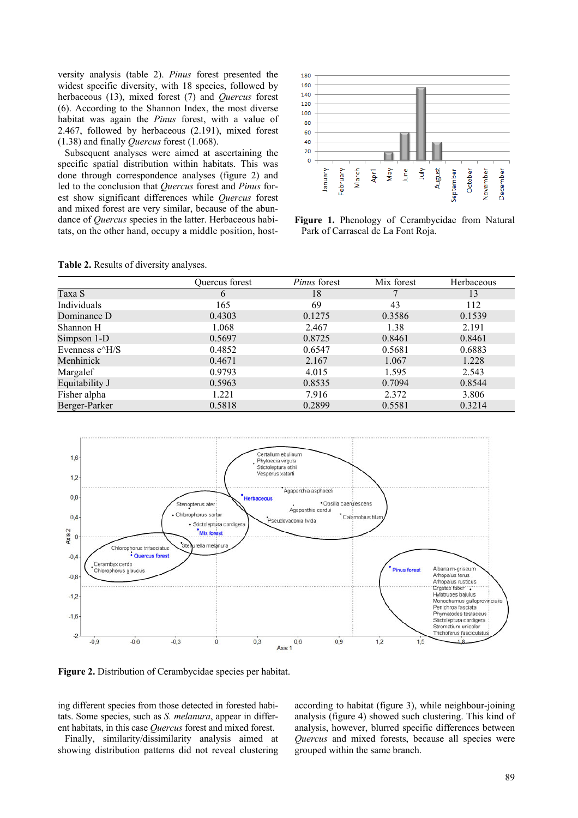versity analysis (table 2). *Pinus* forest presented the widest specific diversity, with 18 species, followed by herbaceous (13), mixed forest (7) and *Quercus* forest (6). According to the Shannon Index, the most diverse habitat was again the *Pinus* forest, with a value of 2.467, followed by herbaceous (2.191), mixed forest (1.38) and finally *Quercus* forest (1.068).

Subsequent analyses were aimed at ascertaining the specific spatial distribution within habitats. This was done through correspondence analyses (figure 2) and led to the conclusion that *Quercus* forest and *Pinus* forest show significant differences while *Quercus* forest and mixed forest are very similar, because of the abundance of *Quercus* species in the latter. Herbaceous habitats, on the other hand, occupy a middle position, host-



**Figure 1.** Phenology of Cerambycidae from Natural Park of Carrascal de La Font Roja.

| Table 2. Results of diversity analyses. |  |
|-----------------------------------------|--|
|-----------------------------------------|--|

|                  | Ouercus forest | <i>Pinus</i> forest | Mix forest | Herbaceous |
|------------------|----------------|---------------------|------------|------------|
| Taxa S           | $\mathfrak b$  | 18                  |            | 13         |
| Individuals      | 165            | 69                  | 43         | 112        |
| Dominance D      | 0.4303         | 0.1275              | 0.3586     | 0.1539     |
| Shannon H        | 1.068          | 2.467               | 1.38       | 2.191      |
| Simpson 1-D      | 0.5697         | 0.8725              | 0.8461     | 0.8461     |
| Evenness $e^H/S$ | 0.4852         | 0.6547              | 0.5681     | 0.6883     |
| Menhinick        | 0.4671         | 2.167               | 1.067      | 1.228      |
| Margalef         | 0.9793         | 4.015               | 1.595      | 2.543      |
| Equitability J   | 0.5963         | 0.8535              | 0.7094     | 0.8544     |
| Fisher alpha     | 1.221          | 7.916               | 2.372      | 3.806      |
| Berger-Parker    | 0.5818         | 0.2899              | 0.5581     | 0.3214     |



**Figure 2.** Distribution of Cerambycidae species per habitat.

ing different species from those detected in forested habitats. Some species, such as *S. melanura*, appear in different habitats, in this case *Quercus* forest and mixed forest.

Finally, similarity/dissimilarity analysis aimed at showing distribution patterns did not reveal clustering

according to habitat (figure 3), while neighbour-joining analysis (figure 4) showed such clustering. This kind of analysis, however, blurred specific differences between *Quercus* and mixed forests, because all species were grouped within the same branch.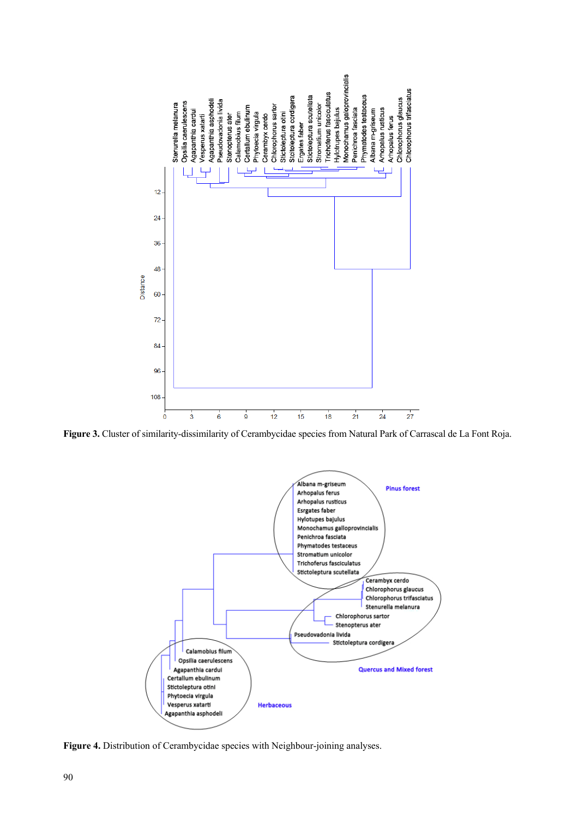

**Figure 3.** Cluster of similarity-dissimilarity of Cerambycidae species from Natural Park of Carrascal de La Font Roja.



**Figure 4.** Distribution of Cerambycidae species with Neighbour-joining analyses.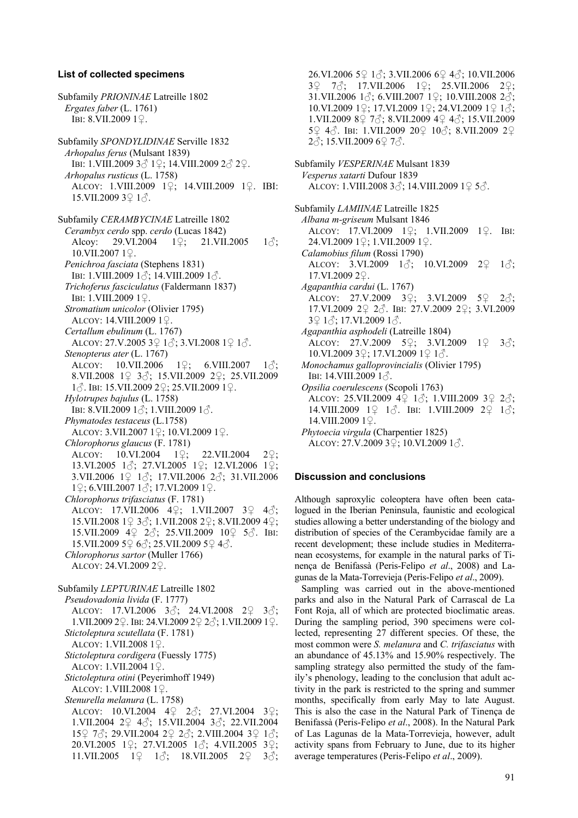#### **List of collected specimens**

Subfamily *PRIONINAE* Latreille 1802 *Ergates faber* (L. 1761) IBI: 8.VII.2009 1♀. Subfamily *SPONDYLIDINAE* Serville 1832 *Arhopalus ferus* (Mulsant 1839) IBI: 1.VIII.2009 3♂ 1♀; 14.VIII.2009 2♂ 2♀. *Arhopalus rusticus* (L. 1758) ALCOY: 1.VIII.2009 1♀; 14.VIII.2009 1♀. IBI:  $15.$ VII.2009 3 $9.1$  $\odot$ . Subfamily *CERAMBYCINAE* Latreille 1802 *Cerambyx cerdo* spp. *cerdo* (Lucas 1842) Alcoy: 29.VI.2004 1♀; 21.VII.2005 1. 10.VII.2007 1♀. *Penichroa fasciata* (Stephens 1831) IBI: 1.VIII.2009 1♂; 14.VIII.2009 1♂. *Trichoferus fasciculatus* (Faldermann 1837) IBI: 1.VIII.2009 1♀. *Stromatium unicolor* (Olivier 1795) ALCOY: 14.VIII.2009 1♀. *Certallum ebulinum* (L. 1767) ALCOY: 27.V.2005 3♀ 1♂; 3.VI.2008 1♀ 1♂. *Stenopterus ater* (L. 1767) ALCOY: 10.VII.2006 1♀; 6.VIII.2007 1♂; 8.VII.2008 1♀ 3♂; 15.VII.2009 2♀; 25.VII.2009 1♂. IBI: 15.VII.2009 2♀; 25.VII.2009 1♀. *Hylotrupes bajulus* (L. 1758) IBI: 8.VII.2009 1♂; 1.VIII.2009 1♂. *Phymatodes testaceus* (L.1758) ALCOY: 3.VII.2007 1♀; 10.VI.2009 1♀. *Chlorophorus glaucus* (F. 1781) ALCOY: 10.VI.2004 1♀; 22.VII.2004 2♀; 13.VI.2005 1♂; 27.VI.2005 1♀; 12.VI.2006 1♀; 3.VII.2006 1♀ 1♂; 17.VII.2006 2♂; 31.VII.2006 1♀; 6.VIII.2007 1♂; 17.VI.2009 1♀. *Chlorophorus trifasciatus* (F. 1781) ALCOY: 17.VII.2006 4♀; 1.VII.2007 3♀ 4♂; 15.VII.2008 1♀ 3♂; 1.VII.2008 2♀; 8.VII.2009 4♀; 15.VII.2009 4♀ 2♂; 25.VII.2009 10♀ 5♂. IBI: 15.VII.2009 5♀ 6♂; 25.VII.2009 5♀ 4♂. *Chlorophorus sartor* (Muller 1766) ALCOY: 24.VI.2009 2♀. Subfamily *LEPTURINAE* Latreille 1802 *Pseudovadonia livida* (F. 1777) ALCOY: 17.VI.2006 3♂; 24.VI.2008 2♀ 3♂; 1.VII.2009 2♀. IBI: 24.VI.2009 2♀ 2♂; 1.VII.2009 1♀. *Stictoleptura scutellata* (F. 1781) ALCOY: 1.VII.2008 1♀. *Stictoleptura cordigera* (Fuessly 1775) ALCOY: 1.VII.2004 1♀. *Stictoleptura otini* (Peyerimhoff 1949) ALCOY: 1.VIII.2008 1♀. *Stenurella melanura* (L. 1758) ALCOY:  $10.\text{VI}.2004 \quad 49 \quad 2\text{A}$ ; 27.VI.2004 3 $9$ ; 1.VII.2004 2♀ 4♂; 15.VII.2004 3♂; 22.VII.2004 15♀ 7♂; 29.VII.2004 2♀ 2♂; 2.VIII.2004 3♀ 1♂; 20.VI.2005 1♀; 27.VI.2005 1♂; 4.VII.2005 3♀; 11.VII.2005  $1\frac{9}{7}$   $1\frac{3}{7}$ ; 18.VII.2005  $2\frac{9}{7}$   $3\frac{3}{7}$ ;

26.VI.2006 5♀ 1♂; 3.VII.2006 6♀ 4♂; 10.VII.2006 3♀ 7♂; 17.VII.2006 1♀; 25.VII.2006 2♀; 31.VII.2006  $1\text{\AA}$ ; 6.VIII.2007  $1\text{\AA}$ ; 10.VIII.2008  $2\text{\AA}$ ; 10.VI.2009 1♀; 17.VI.2009 1♀; 24.VI.2009 1♀ 1♂; 1.VII.2009 8♀ 7♂; 8.VII.2009 4♀ 4♂; 15.VII.2009 5♀ 4♂. IBI: 1.VII.2009 20♀ 10♂; 8.VII.2009 2♀ 2♂; 15.VII.2009 6♀ 7♂.

Subfamily *VESPERINAE* Mulsant 1839 *Vesperus xatarti* Dufour 1839 ALCOY: 1.VIII.2008 3♂; 14.VIII.2009 1♀ 5♂.

Subfamily *LAMIINAE* Latreille 1825 *Albana m-griseum* Mulsant 1846 ALCOY: 17.VI.2009 1♀; 1.VII.2009 1♀. IBI: 24.VI.2009 1♀; 1.VII.2009 1♀. *Calamobius filum* (Rossi 1790) ALCOY: 3.VI.2009  $1\text{ }3$ ; 10.VI.2009  $2\text{ }2\text{ }1\text{ }3$ ; 17.VI.2009 2♀. *Agapanthia cardui* (L. 1767) ALCOY: 27.V.2009 3♀; 3.VI.2009 5♀ 2♂; 17.VI.2009 2♀ 2♂. IBI: 27.V.2009 2♀; 3.VI.2009 3♀ 1♂; 17.VI.2009 1♂. *Agapanthia asphodeli* (Latreille 1804) ALCOY: 27.V.2009 5♀; 3.VI.2009 1♀ 3♂; 10.VI.2009 3♀; 17.VI.2009 1♀ 1♂. *Monochamus galloprovincialis* (Olivier 1795) IBI: 14.VIII.2009 1♂. *Opsilia coerulescens* (Scopoli 1763) ALCOY: 25.VII.2009 4♀ 1♂; 1.VIII.2009 3♀ 2♂; 14.VIII.2009 1♀ 1♂. IBI: 1.VIII.2009 2♀ 1♂; 14.VIII.2009 1♀. *Phytoecia virgula* (Charpentier 1825) ALCOY: 27.V.2009 3♀; 10.VI.2009 1♂.

## **Discussion and conclusions**

Although saproxylic coleoptera have often been catalogued in the Iberian Peninsula, faunistic and ecological studies allowing a better understanding of the biology and distribution of species of the Cerambycidae family are a recent development; these include studies in Mediterranean ecosystems, for example in the natural parks of Tinença de Benifassà (Peris-Felipo *et al*., 2008) and Lagunas de la Mata-Torrevieja (Peris-Felipo *et al*., 2009).

Sampling was carried out in the above-mentioned parks and also in the Natural Park of Carrascal de La Font Roja, all of which are protected bioclimatic areas. During the sampling period, 390 specimens were collected, representing 27 different species. Of these, the most common were *S. melanura* and *C. trifasciatus* with an abundance of 45.13% and 15.90% respectively. The sampling strategy also permitted the study of the family's phenology, leading to the conclusion that adult activity in the park is restricted to the spring and summer months, specifically from early May to late August. This is also the case in the Natural Park of Tinença de Benifassà (Peris-Felipo *et al*., 2008). In the Natural Park of Las Lagunas de la Mata-Torrevieja, however, adult activity spans from February to June, due to its higher average temperatures (Peris-Felipo *et al*., 2009).